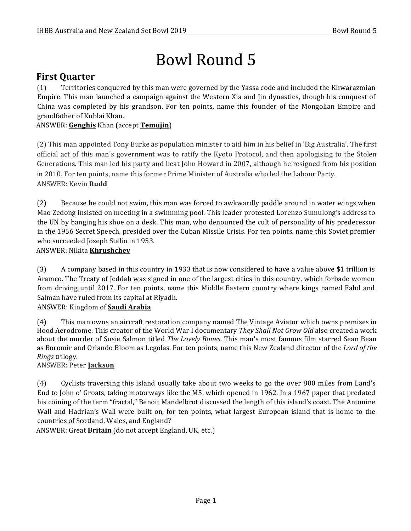# Bowl Round 5

# **First Quarter**

(1) Territories conquered by this man were governed by the Yassa code and included the Khwarazmian Empire. This man launched a campaign against the Western Xia and I in dynasties, though his conquest of China was completed by his grandson. For ten points, name this founder of the Mongolian Empire and grandfather of Kublai Khan.

# ANSWER: Genghis Khan (accept Temujin)

(2) This man appointed Tony Burke as population minister to aid him in his belief in 'Big Australia'. The first official act of this man's government was to ratify the Kyoto Protocol, and then apologising to the Stolen Generations. This man led his party and beat John Howard in 2007, although he resigned from his position in 2010. For ten points, name this former Prime Minister of Australia who led the Labour Party. ANSWER: Kevin **Rudd**

(2) Because he could not swim, this man was forced to awkwardly paddle around in water wings when Mao Zedong insisted on meeting in a swimming pool. This leader protested Lorenzo Sumulong's address to the UN by banging his shoe on a desk. This man, who denounced the cult of personality of his predecessor in the 1956 Secret Speech, presided over the Cuban Missile Crisis. For ten points, name this Soviet premier who succeeded Joseph Stalin in 1953.

# ANSWER: Nikita **Khrushchev**

(3) A company based in this country in 1933 that is now considered to have a value above \$1 trillion is Aramco. The Treaty of Jeddah was signed in one of the largest cities in this country, which forbade women from driving until 2017. For ten points, name this Middle Eastern country where kings named Fahd and Salman have ruled from its capital at Riyadh.

# ANSWER: Kingdom of **Saudi Arabia**

(4) This man owns an aircraft restoration company named The Vintage Aviator which owns premises in Hood Aerodrome. This creator of the World War I documentary *They Shall Not Grow Old* also created a work about the murder of Susie Salmon titled *The Lovely Bones*. This man's most famous film starred Sean Bean as Boromir and Orlando Bloom as Legolas. For ten points, name this New Zealand director of the *Lord of the Rings* trilogy.

# ANSWER: Peter **Jackson**

(4) Cyclists traversing this island usually take about two weeks to go the over 800 miles from Land's End to John o' Groats, taking motorways like the M5, which opened in 1962. In a 1967 paper that predated his coining of the term "fractal," Benoit Mandelbrot discussed the length of this island's coast. The Antonine Wall and Hadrian's Wall were built on, for ten points, what largest European island that is home to the countries of Scotland, Wales, and England?

ANSWER: Great **Britain** (do not accept England, UK, etc.)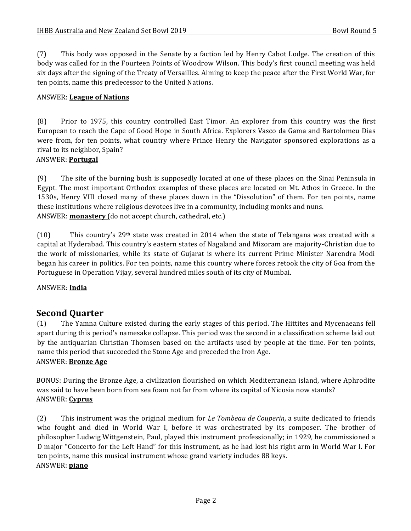(7) This body was opposed in the Senate by a faction led by Henry Cabot Lodge. The creation of this body was called for in the Fourteen Points of Woodrow Wilson. This body's first council meeting was held six days after the signing of the Treaty of Versailles. Aiming to keep the peace after the First World War, for ten points, name this predecessor to the United Nations.

#### ANSWER: **League of Nations**

(8) Prior to 1975, this country controlled East Timor. An explorer from this country was the first European to reach the Cape of Good Hope in South Africa. Explorers Vasco da Gama and Bartolomeu Dias were from, for ten points, what country where Prince Henry the Navigator sponsored explorations as a rival to its neighbor, Spain?

#### ANSWER: **Portugal**

(9) The site of the burning bush is supposedly located at one of these places on the Sinai Peninsula in Egypt. The most important Orthodox examples of these places are located on Mt. Athos in Greece. In the 1530s, Henry VIII closed many of these places down in the "Dissolution" of them. For ten points, name these institutions where religious devotees live in a community, including monks and nuns. ANSWER: **monastery** (do not accept church, cathedral, etc.)

(10) This country's 29<sup>th</sup> state was created in 2014 when the state of Telangana was created with a capital at Hyderabad. This country's eastern states of Nagaland and Mizoram are majority-Christian due to the work of missionaries, while its state of Gujarat is where its current Prime Minister Narendra Modi began his career in politics. For ten points, name this country where forces retook the city of Goa from the Portuguese in Operation Vijay, several hundred miles south of its city of Mumbai.

ANSWER: **India**

# **Second Quarter**

(1) The Yamna Culture existed during the early stages of this period. The Hittites and Mycenaeans fell apart during this period's namesake collapse. This period was the second in a classification scheme laid out by the antiquarian Christian Thomsen based on the artifacts used by people at the time. For ten points, name this period that succeeded the Stone Age and preceded the Iron Age. ANSWER: **Bronze Age** 

BONUS: During the Bronze Age, a civilization flourished on which Mediterranean island, where Aphrodite was said to have been born from sea foam not far from where its capital of Nicosia now stands? ANSWER: **Cyprus**

(2) This instrument was the original medium for *Le Tombeau de Couperin*, a suite dedicated to friends who fought and died in World War I, before it was orchestrated by its composer. The brother of philosopher Ludwig Wittgenstein, Paul, played this instrument professionally; in 1929, he commissioned a D major "Concerto for the Left Hand" for this instrument, as he had lost his right arm in World War I. For ten points, name this musical instrument whose grand variety includes 88 keys. ANSWER: **piano**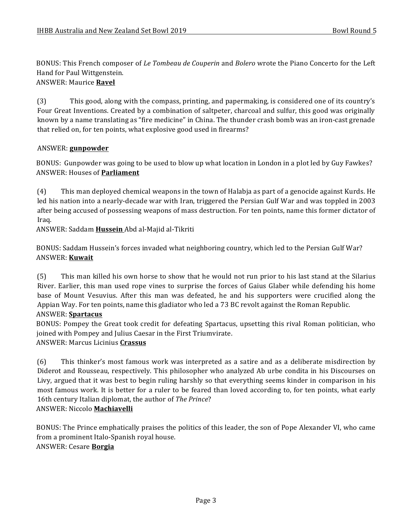BONUS: This French composer of *Le Tombeau de Couperin* and *Bolero* wrote the Piano Concerto for the Left Hand for Paul Wittgenstein.

#### ANSWER: Maurice **Ravel**

(3) This good, along with the compass, printing, and papermaking, is considered one of its country's Four Great Inventions. Created by a combination of saltpeter, charcoal and sulfur, this good was originally known by a name translating as "fire medicine" in China. The thunder crash bomb was an iron-cast grenade that relied on, for ten points, what explosive good used in firearms?

#### ANSWER: **gunpowder**

BONUS: Gunpowder was going to be used to blow up what location in London in a plot led by Guy Fawkes? ANSWER: Houses of **Parliament**

(4) This man deployed chemical weapons in the town of Halabja as part of a genocide against Kurds. He led his nation into a nearly-decade war with Iran, triggered the Persian Gulf War and was toppled in 2003 after being accused of possessing weapons of mass destruction. For ten points, name this former dictator of Iraq.

ANSWER: Saddam **Hussein** Abd al-Majid al-Tikriti

BONUS: Saddam Hussein's forces invaded what neighboring country, which led to the Persian Gulf War? ANSWER: **Kuwait**

(5) This man killed his own horse to show that he would not run prior to his last stand at the Silarius River. Earlier, this man used rope vines to surprise the forces of Gaius Glaber while defending his home base of Mount Vesuvius. After this man was defeated, he and his supporters were crucified along the Appian Way. For ten points, name this gladiator who led a 73 BC revolt against the Roman Republic.

#### ANSWER: **Spartacus**

BONUS: Pompey the Great took credit for defeating Spartacus, upsetting this rival Roman politician, who joined with Pompey and Julius Caesar in the First Triumvirate.

ANSWER: Marcus Licinius **Crassus**

(6) This thinker's most famous work was interpreted as a satire and as a deliberate misdirection by Diderot and Rousseau, respectively. This philosopher who analyzed Ab urbe condita in his Discourses on Livy, argued that it was best to begin ruling harshly so that everything seems kinder in comparison in his most famous work. It is better for a ruler to be feared than loved according to, for ten points, what early 16th century Italian diplomat, the author of *The Prince*? ANSWER: Niccolo **Machiavelli**

BONUS: The Prince emphatically praises the politics of this leader, the son of Pope Alexander VI, who came from a prominent Italo-Spanish royal house. ANSWER: Cesare **Borgia**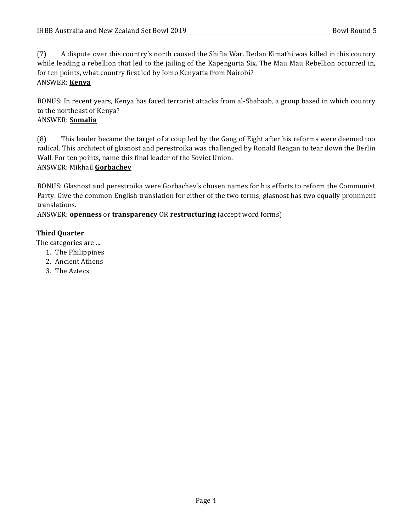(7) A dispute over this country's north caused the Shifta War. Dedan Kimathi was killed in this country while leading a rebellion that led to the jailing of the Kapenguria Six. The Mau Mau Rebellion occurred in, for ten points, what country first led by Jomo Kenyatta from Nairobi?

#### ANSWER: **Kenya**

BONUS: In recent years, Kenya has faced terrorist attacks from al-Shabaab, a group based in which country to the northeast of Kenya?

#### ANSWER: **Somalia**

(8) This leader became the target of a coup led by the Gang of Eight after his reforms were deemed too radical. This architect of glasnost and perestroika was challenged by Ronald Reagan to tear down the Berlin Wall. For ten points, name this final leader of the Soviet Union. ANSWER: Mikhail **Gorbachev**

BONUS: Glasnost and perestroika were Gorbachev's chosen names for his efforts to reform the Communist Party. Give the common English translation for either of the two terms; glasnost has two equally prominent translations.

ANSWER: **openness** or **transparency** OR **restructuring** (accept word forms)

#### **Third Quarter**

The categories are ...

- 1. The Philippines
- 2. Ancient Athens
- 3. The Aztecs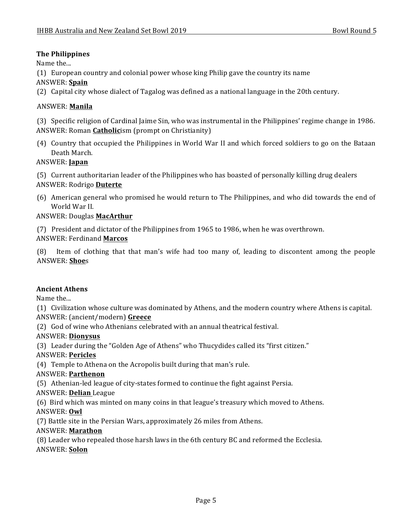# **The Philippines**

Name the...

(1) European country and colonial power whose king Philip gave the country its name

#### ANSWER: **Spain**

(2) Capital city whose dialect of Tagalog was defined as a national language in the 20th century.

# ANSWER: **Manila**

(3) Specific religion of Cardinal Jaime Sin, who was instrumental in the Philippines' regime change in 1986. ANSWER: Roman **Catholic**ism (prompt on Christianity)

(4) Country that occupied the Philippines in World War II and which forced soldiers to go on the Bataan Death March.

# ANSWER: **Japan**

(5) Current authoritarian leader of the Philippines who has boasted of personally killing drug dealers ANSWER: Rodrigo **Duterte**

(6) American general who promised he would return to The Philippines, and who did towards the end of World War II.

# ANSWER: Douglas **MacArthur**

(7) President and dictator of the Philippines from 1965 to 1986, when he was overthrown.

# ANSWER: Ferdinand **Marcos**

 $(8)$  Item of clothing that that man's wife had too many of, leading to discontent among the people ANSWER: **Shoe**s

# **Ancient Athens**

Name the...

(1) Civilization whose culture was dominated by Athens, and the modern country where Athens is capital. ANSWER: (ancient/modern) Greece

(2) God of wine who Athenians celebrated with an annual theatrical festival.

# ANSWER: **Dionysus**

(3) Leader during the "Golden Age of Athens" who Thucydides called its "first citizen."

# ANSWER: **Pericles**

(4) Temple to Athena on the Acropolis built during that man's rule.

# ANSWER: **Parthenon**

(5) Athenian-led league of city-states formed to continue the fight against Persia.

# ANSWER: **Delian** League

(6) Bird which was minted on many coins in that league's treasury which moved to Athens.

# ANSWER: **Owl**

(7) Battle site in the Persian Wars, approximately 26 miles from Athens.

# ANSWER: **Marathon**

(8) Leader who repealed those harsh laws in the 6th century BC and reformed the Ecclesia. ANSWER: **Solon**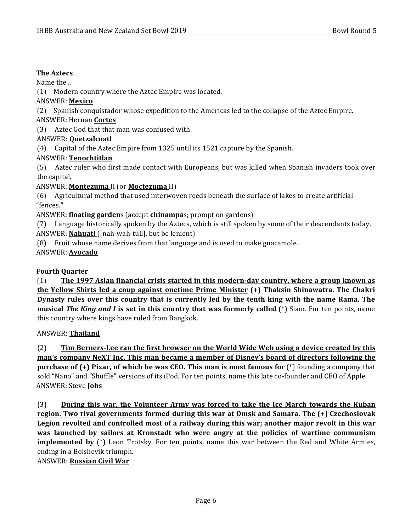#### **The Aztecs**

Name the...

(1) Modern country where the Aztec Empire was located.

#### ANSWER: **Mexico**

(2) Spanish conquistador whose expedition to the Americas led to the collapse of the Aztec Empire.

#### ANSWER: Hernan **Cortes**

(3) Aztec God that that man was confused with.

#### ANSWER: **Quetzalcoatl**

(4) Capital of the Aztec Empire from 1325 until its 1521 capture by the Spanish.

# ANSWER: **Tenochtitlan**

(5) Aztec ruler who first made contact with Europeans, but was killed when Spanish invaders took over the capital.

# ANSWER: **Montezuma** II (or **Moctezuma** II)

(6) Agricultural method that used interwoven reeds beneath the surface of lakes to create artificial "fences."

ANSWER: **floating garden**s (accept **chinampa**s; prompt on gardens)

(7) Language historically spoken by the Aztecs, which is still spoken by some of their descendants today. ANSWER: **Nahuatl** ([nah-wah-tull], but be lenient)

(8) Fruit whose name derives from that language and is used to make guacamole.

ANSWER: **Avocado**

# **Fourth Quarter**

(1) The 1997 Asian financial crisis started in this modern-day country, where a group known as **the Yellow Shirts led a coup against onetime Prime Minister (+) Thaksin Shinawatra. The Chakri Dynasty rules over this country that is currently led by the tenth king with the name Rama. The musical The King and I is set in this country that was formerly called (\*) Siam. For ten points, name** this country where kings have ruled from Bangkok.

# ANSWER: **Thailand**

(2) **Tim Berners-Lee ran the first browser on the World Wide Web using a device created by this man's company NeXT Inc. This man became a member of Disney's board of directors following the purchase of (+) Pixar, of which he was CEO. This man is most famous for (\*)** founding a company that sold "Nano" and "Shuffle" versions of its iPod. For ten points, name this late co-founder and CEO of Apple. ANSWER: Steve **Jobs**

(3) **During this war, the Volunteer Army was forced to take the Ice March towards the Kuban** region. Two rival governments formed during this war at Omsk and Samara. The  $(+)$  Czechoslovak Legion revolted and controlled most of a railway during this war; another major revolt in this war was launched by sailors at Kronstadt who were angry at the policies of wartime communism **implemented** by (\*) Leon Trotsky. For ten points, name this war between the Red and White Armies, ending in a Bolshevik triumph.

# ANSWER: **Russian Civil War**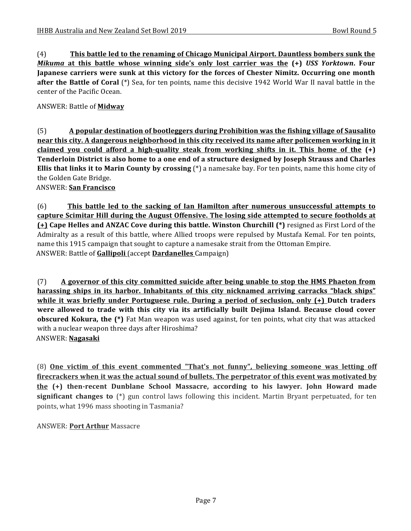(4) **This battle led to the renaming of Chicago Municipal Airport. Dauntless bombers sunk the** *Mikuma* at this battle whose winning side's only lost carrier was the  $(+)$  USS Yorktown. Four Japanese carriers were sunk at this victory for the forces of Chester Nimitz. Occurring one month **after the Battle of Coral** (\*) Sea, for ten points, name this decisive 1942 World War II naval battle in the center of the Pacific Ocean.

ANSWER: Battle of **Midway**

(5) **A** popular destination of bootleggers during Prohibition was the fishing village of Sausalito **near this city. A dangerous neighborhood in this city received its name after policemen working in it claimed** you could afford a high-quality steak from working shifts in it. This home of the  $(+)$ **Tenderloin District is also home to a one end of a structure designed by Joseph Strauss and Charles Ellis that links it to Marin County by crossing** (\*) a namesake bay. For ten points, name this home city of the Golden Gate Bridge.

ANSWER: **San Francisco**

(6) **This battle led to the sacking of Ian Hamilton after numerous unsuccessful attempts to** capture Scimitar Hill during the August Offensive. The losing side attempted to secure footholds at **(+)** Cape Helles and ANZAC Cove during this battle. Winston Churchill (\*) resigned as First Lord of the Admiralty as a result of this battle, where Allied troops were repulsed by Mustafa Kemal. For ten points, name this 1915 campaign that sought to capture a namesake strait from the Ottoman Empire. ANSWER: Battle of **Gallipoli** (accept **Dardanelles** Campaign)

(7) A governor of this city committed suicide after being unable to stop the HMS Phaeton from **harassing ships in its harbor. Inhabitants of this city nicknamed arriving carracks "black ships"** while it was briefly under Portuguese rule. During a period of seclusion, only  $(+)$  Dutch traders were allowed to trade with this city via its artificially built Dejima Island. Because cloud cover **obscured Kokura, the (\*)** Fat Man weapon was used against, for ten points, what city that was attacked with a nuclear weapon three days after Hiroshima? ANSWER: **Nagasaki**

(8) **One victim of this event commented "That's not funny", believing someone was letting off** firecrackers when it was the actual sound of bullets. The perpetrator of this event was motivated by **the** (+) then-recent Dunblane School Massacre, according to his lawyer. John Howard made **significant changes to** (\*) gun control laws following this incident. Martin Bryant perpetuated, for ten points, what 1996 mass shooting in Tasmania?

**ANSWER: Port Arthur Massacre**